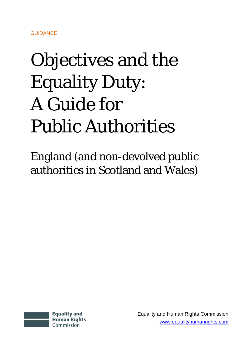# Objectives and the Equality Duty: A Guide for Public Authorities

England (and non-devolved public authorities in Scotland and Wales)



Equality and Human Rights Commission [www.equalityhumanrights.com](http://www.equalityhumanrights.com/)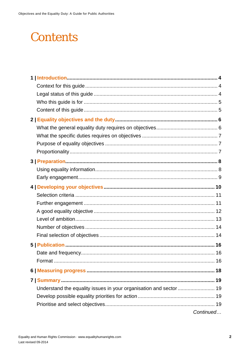### **Contents**

| Continued |
|-----------|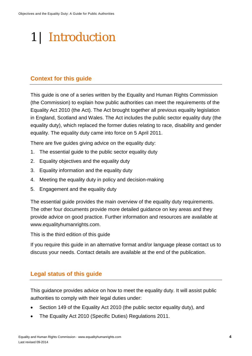## <span id="page-3-0"></span>1 | Introduction

#### <span id="page-3-1"></span>**Context for this guide**

This guide is one of a series written by the Equality and Human Rights Commission (the Commission) to explain how public authorities can meet the requirements of the Equality Act 2010 (the Act). The Act brought together all previous equality legislation in England, Scotland and Wales. The Act includes the public sector equality duty (the equality duty), which replaced the former duties relating to race, disability and gender equality. The equality duty came into force on 5 April 2011.

There are five guides giving advice on the equality duty:

- 1. The essential guide to the public sector equality duty
- 2. Equality objectives and the equality duty
- 3. Equality information and the equality duty
- 4. Meeting the equality duty in policy and decision-making
- 5. Engagement and the equality duty

The essential guide provides the main overview of the equality duty requirements. The other four documents provide more detailed guidance on key areas and they provide advice on good practice. Further information and resources are available at [www.equalityhumanrights.com.](http://www.equalityhumanrights.com/advice-and-guidance/public-sector-equality-duty/)

This is the third edition of this guide

If you require this guide in an alternative format and/or language please contact us to discuss your needs. Contact details are available at the end of the publication.

#### <span id="page-3-2"></span>**Legal status of this guide**

This guidance provides advice on how to meet the equality duty. It will assist public authorities to comply with their legal duties under:

- Section 149 of the Equality Act 2010 (the public sector equality duty), and
- The Equality Act 2010 (Specific Duties) Regulations 2011.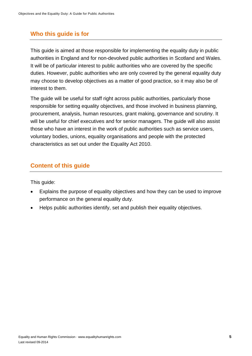#### <span id="page-4-0"></span>**Who this guide is for**

This guide is aimed at those responsible for implementing the equality duty in public authorities in England and for non-devolved public authorities in Scotland and Wales. It will be of particular interest to public authorities who are covered by the specific duties. However, public authorities who are only covered by the general equality duty may choose to develop objectives as a matter of good practice, so it may also be of interest to them.

The guide will be useful for staff right across public authorities, particularly those responsible for setting equality objectives, and those involved in business planning, procurement, analysis, human resources, grant making, governance and scrutiny. It will be useful for chief executives and for senior managers. The guide will also assist those who have an interest in the work of public authorities such as service users, voluntary bodies, unions, equality organisations and people with the protected characteristics as set out under the Equality Act 2010.

#### <span id="page-4-1"></span>**Content of this guide**

This guide:

- Explains the purpose of equality objectives and how they can be used to improve performance on the general equality duty.
- Helps public authorities identify, set and publish their equality objectives.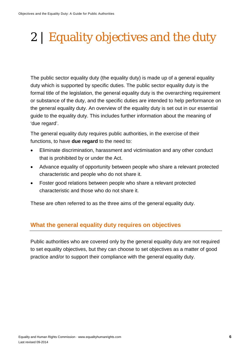## <span id="page-5-0"></span>2 | Equality objectives and the duty

The public sector equality duty (the equality duty) is made up of a general equality duty which is supported by specific duties. The public sector equality duty is the formal title of the legislation, the general equality duty is the overarching requirement or substance of the duty, and the specific duties are intended to help performance on the general equality duty. An overview of the equality duty is set out in our essential guide to the equality duty. This includes further information about the meaning of 'due regard'.

The general equality duty requires public authorities, in the exercise of their functions, to have **due regard** to the need to:

- Eliminate discrimination, harassment and victimisation and any other conduct that is prohibited by or under the Act.
- Advance equality of opportunity between people who share a relevant protected characteristic and people who do not share it.
- Foster good relations between people who share a relevant protected characteristic and those who do not share it.

These are often referred to as the three aims of the general equality duty.

#### <span id="page-5-1"></span>**What the general equality duty requires on objectives**

Public authorities who are covered only by the general equality duty are not required to set equality objectives, but they can choose to set objectives as a matter of good practice and/or to support their compliance with the general equality duty.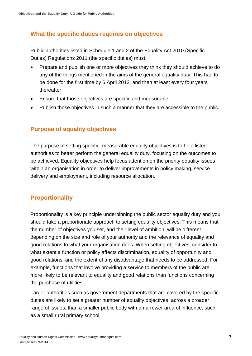#### <span id="page-6-0"></span>**What the specific duties requires on objectives**

Public authorities listed in Schedule 1 and 2 of the Equality Act 2010 (Specific Duties) Regulations 2011 (the specific duties) must:

- Prepare and publish one or more objectives they think they should achieve to do any of the things mentioned in the aims of the general equality duty. This had to be done for the first time by 6 April 2012, and then at least every four years thereafter.
- Ensure that those objectives are specific and measurable.
- Publish those objectives in such a manner that they are accessible to the public.

#### <span id="page-6-1"></span>**Purpose of equality objectives**

The purpose of setting specific, measurable equality objectives is to help listed authorities to better perform the general equality duty, focusing on the outcomes to be achieved. Equality objectives help focus attention on the priority equality issues within an organisation in order to deliver improvements in policy making, service delivery and employment, including resource allocation.

#### <span id="page-6-2"></span>**Proportionality**

Proportionality is a key principle underpinning the public sector equality duty and you should take a proportionate approach to setting equality objectives. This means that the number of objectives you set, and their level of ambition, will be different depending on the size and role of your authority and the relevance of equality and good relations to what your organisation does. When setting objectives, consider to what extent a function or policy affects discrimination, equality of opportunity and good relations, and the extent of any disadvantage that needs to be addressed. For example, functions that involve providing a service to members of the public are more likely to be relevant to equality and good relations than functions concerning the purchase of utilities.

Larger authorities such as government departments that are covered by the specific duties are likely to set a greater number of equality objectives, across a broader range of issues, than a smaller public body with a narrower area of influence, such as a small rural primary school.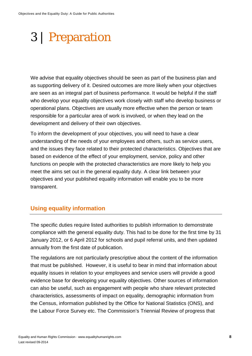### <span id="page-7-0"></span>3 | Preparation

We advise that equality objectives should be seen as part of the business plan and as supporting delivery of it. Desired outcomes are more likely when your objectives are seen as an integral part of business performance. It would be helpful if the staff who develop your equality objectives work closely with staff who develop business or operational plans. Objectives are usually more effective when the person or team responsible for a particular area of work is involved, or when they lead on the development and delivery of their own objectives.

To inform the development of your objectives, you will need to have a clear understanding of the needs of your employees and others, such as service users, and the issues they face related to their protected characteristics. Objectives that are based on evidence of the effect of your employment, service, policy and other functions on people with the protected characteristics are more likely to help you meet the aims set out in the general equality duty. A clear link between your objectives and your published equality information will enable you to be more transparent.

#### <span id="page-7-1"></span>**Using equality information**

The specific duties require listed authorities to publish information to demonstrate compliance with the general equality duty. This had to be done for the first time by 31 January 2012, or 6 April 2012 for schools and pupil referral units, and then updated annually from the first date of publication.

The regulations are not particularly prescriptive about the content of the information that must be published. However, it is useful to bear in mind that information about equality issues in relation to your employees and service users will provide a good evidence base for developing your equality objectives. Other sources of information can also be useful, such as engagement with people who share relevant protected characteristics, assessments of impact on equality, demographic information from the Census, information published by the Office for National Statistics (ONS), and the Labour Force Survey etc. The Commission's Triennial Review of progress that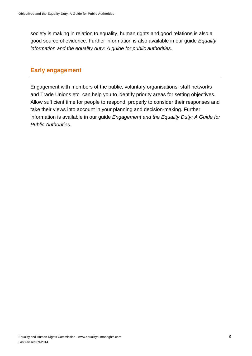society is making in relation to equality, human rights and good relations is also a good source of evidence. Further information is also available in our guide *Equality information and the equality duty: A guide for public authorities*.

#### <span id="page-8-0"></span>**Early engagement**

Engagement with members of the public, voluntary organisations, staff networks and Trade Unions etc. can help you to identify priority areas for setting objectives. Allow sufficient time for people to respond, properly to consider their responses and take their views into account in your planning and decision-making. Further information is available in our guide *Engagement and the Equality Duty: A Guide for Public Authorities.*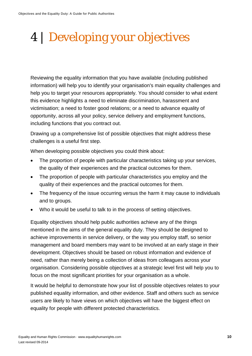# <span id="page-9-0"></span>4 | Developing your objectives

Reviewing the equality information that you have available (including published information) will help you to identify your organisation's main equality challenges and help you to target your resources appropriately. You should consider to what extent this evidence highlights a need to eliminate discrimination, harassment and victimisation; a need to foster good relations; or a need to advance equality of opportunity, across all your policy, service delivery and employment functions, including functions that you contract out.

Drawing up a comprehensive list of possible objectives that might address these challenges is a useful first step.

When developing possible objectives you could think about:

- The proportion of people with particular characteristics taking up your services, the quality of their experiences and the practical outcomes for them.
- The proportion of people with particular characteristics you employ and the quality of their experiences and the practical outcomes for them.
- The frequency of the issue occurring versus the harm it may cause to individuals and to groups.
- Who it would be useful to talk to in the process of setting objectives.

Equality objectives should help public authorities achieve any of the things mentioned in the aims of the general equality duty. They should be designed to achieve improvements in service delivery, or the way you employ staff, so senior management and board members may want to be involved at an early stage in their development. Objectives should be based on robust information and evidence of need, rather than merely being a collection of ideas from colleagues across your organisation. Considering possible objectives at a strategic level first will help you to focus on the most significant priorities for your organisation as a whole.

It would be helpful to demonstrate how your list of possible objectives relates to your published equality information, and other evidence. Staff and others such as service users are likely to have views on which objectives will have the biggest effect on equality for people with different protected characteristics.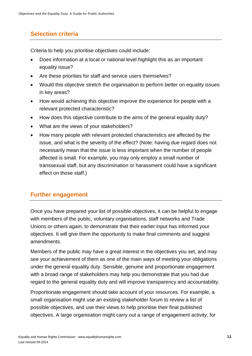#### <span id="page-10-0"></span>**Selection criteria**

Criteria to help you prioritise objectives could include:

- Does information at a local or national level highlight this as an important equality issue?
- Are these priorities for staff and service users themselves?
- Would this objective stretch the organisation to perform better on equality issues in key areas?
- How would achieving this objective improve the experience for people with a relevant protected characteristic?
- How does this objective contribute to the aims of the general equality duty?
- What are the views of your stakeholders?
- How many people with relevant protected characteristics are affected by the issue, and what is the severity of the effect? (Note: having due regard does not necessarily mean that the issue is less important when the number of people affected is small. For example, you may only employ a small number of transsexual staff, but any discrimination or harassment could have a significant effect on those staff.)

#### <span id="page-10-1"></span>**Further engagement**

Once you have prepared your list of possible objectives, it can be helpful to engage with members of the public, voluntary organisations, staff networks and Trade Unions or others again, to demonstrate that their earlier input has informed your objectives. It will give them the opportunity to make final comments and suggest amendments.

Members of the public may have a great interest in the objectives you set, and may see your achievement of them as one of the main ways of meeting your obligations under the general equality duty. Sensible, genuine and proportionate engagement with a broad range of stakeholders may help you demonstrate that you had due regard to the general equality duty and will improve transparency and accountability.

Proportionate engagement should take account of your resources. For example, a small organisation might use an existing stakeholder forum to review a list of possible objectives, and use their views to help prioritise their final published objectives. A large organisation might carry out a range of engagement activity, for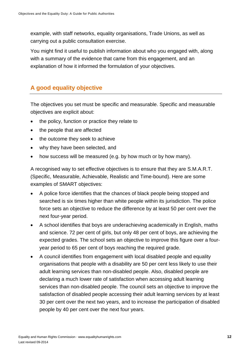example, with staff networks, equality organisations, Trade Unions, as well as carrying out a public consultation exercise.

You might find it useful to publish information about who you engaged with, along with a summary of the evidence that came from this engagement, and an explanation of how it informed the formulation of your objectives.

#### <span id="page-11-0"></span>**A good equality objective**

The objectives you set must be specific and measurable. Specific and measurable objectives are explicit about:

- the policy, function or practice they relate to
- the people that are affected
- the outcome they seek to achieve
- why they have been selected, and
- how success will be measured (e.g. by how much or by how many).

A recognised way to set effective objectives is to ensure that they are S.M.A.R.T. (Specific, Measurable, Achievable, Realistic and Time-bound). Here are some examples of SMART objectives:

- A police force identifies that the chances of black people being stopped and searched is six times higher than white people within its jurisdiction. The police force sets an objective to reduce the difference by at least 50 per cent over the next four-year period.
- A school identifies that boys are underachieving academically in English, maths and science. 72 per cent of girls, but only 48 per cent of boys, are achieving the expected grades. The school sets an objective to improve this figure over a fouryear period to 65 per cent of boys reaching the required grade.
- A council identifies from engagement with local disabled people and equality organisations that people with a disability are 50 per cent less likely to use their adult learning services than non-disabled people. Also, disabled people are declaring a much lower rate of satisfaction when accessing adult learning services than non-disabled people. The council sets an objective to improve the satisfaction of disabled people accessing their adult learning services by at least 30 per cent over the next two years, and to increase the participation of disabled people by 40 per cent over the next four years.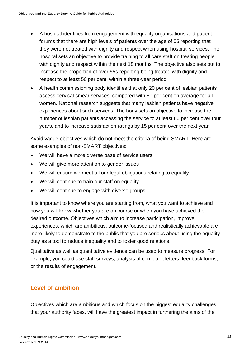- A hospital identifies from engagement with equality organisations and patient forums that there are high levels of patients over the age of 55 reporting that they were not treated with dignity and respect when using hospital services. The hospital sets an objective to provide training to all care staff on treating people with dignity and respect within the next 18 months. The objective also sets out to increase the proportion of over 55s reporting being treated with dignity and respect to at least 50 per cent, within a three-year period.
- A health commissioning body identifies that only 20 per cent of lesbian patients access cervical smear services, compared with 80 per cent on average for all women. National research suggests that many lesbian patients have negative experiences about such services. The body sets an objective to increase the number of lesbian patients accessing the service to at least 60 per cent over four years, and to increase satisfaction ratings by 15 per cent over the next year.

Avoid vague objectives which do not meet the criteria of being SMART. Here are some examples of non-SMART objectives:

- We will have a more diverse base of service users
- We will give more attention to gender issues
- We will ensure we meet all our legal obligations relating to equality
- We will continue to train our staff on equality
- We will continue to engage with diverse groups.

It is important to know where you are starting from, what you want to achieve and how you will know whether you are on course or when you have achieved the desired outcome. Objectives which aim to increase participation, improve experiences, which are ambitious, outcome-focused and realistically achievable are more likely to demonstrate to the public that you are serious about using the equality duty as a tool to reduce inequality and to foster good relations.

Qualitative as well as quantitative evidence can be used to measure progress. For example, you could use staff surveys, analysis of complaint letters, feedback forms, or the results of engagement.

#### <span id="page-12-0"></span>**Level of ambition**

Objectives which are ambitious and which focus on the biggest equality challenges that your authority faces, will have the greatest impact in furthering the aims of the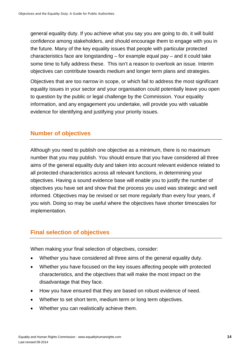general equality duty. If you achieve what you say you are going to do, it will build confidence among stakeholders, and should encourage them to engage with you in the future. Many of the key equality issues that people with particular protected characteristics face are longstanding – for example equal pay – and it could take some time to fully address these. This isn't a reason to overlook an issue. Interim objectives can contribute towards medium and longer term plans and strategies.

Objectives that are too narrow in scope, or which fail to address the most significant equality issues in your sector and your organisation could potentially leave you open to question by the public or legal challenge by the Commission. Your equality information, and any engagement you undertake, will provide you with valuable evidence for identifying and justifying your priority issues.

#### <span id="page-13-0"></span>**Number of objectives**

Although you need to publish one objective as a minimum, there is no maximum number that you may publish. You should ensure that you have considered all three aims of the general equality duty and taken into account relevant evidence related to all protected characteristics across all relevant functions, in determining your objectives. Having a sound evidence base will enable you to justify the number of objectives you have set and show that the process you used was strategic and well informed. Objectives may be revised or set more regularly than every four years, if you wish. Doing so may be useful where the objectives have shorter timescales for implementation.

#### <span id="page-13-1"></span>**Final selection of objectives**

When making your final selection of objectives, consider:

- Whether you have considered all three aims of the general equality duty.
- Whether you have focused on the key issues affecting people with protected characteristics, and the objectives that will make the most impact on the disadvantage that they face.
- How you have ensured that they are based on robust evidence of need.
- Whether to set short term, medium term or long term objectives.
- Whether you can realistically achieve them.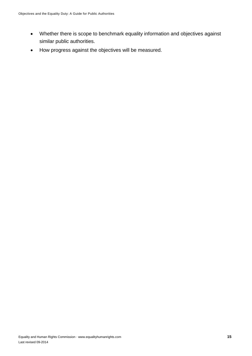- Whether there is scope to benchmark equality information and objectives against similar public authorities.
- How progress against the objectives will be measured.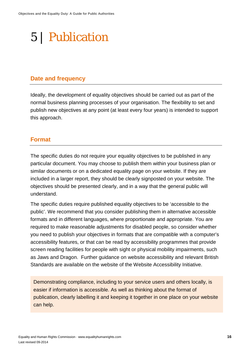### <span id="page-15-0"></span>5 | Publication

#### <span id="page-15-1"></span>**Date and frequency**

Ideally, the development of equality objectives should be carried out as part of the normal business planning processes of your organisation. The flexibility to set and publish new objectives at any point (at least every four years) is intended to support this approach.

#### <span id="page-15-2"></span>**Format**

The specific duties do not require your equality objectives to be published in any particular document. You may choose to publish them within your business plan or similar documents or on a dedicated equality page on your website. If they are included in a larger report, they should be clearly signposted on your website. The objectives should be presented clearly, and in a way that the general public will understand.

The specific duties require published equality objectives to be 'accessible to the public'. We recommend that you consider publishing them in alternative accessible formats and in different languages, where proportionate and appropriate. You are required to make reasonable adjustments for disabled people, so consider whether you need to publish your objectives in formats that are compatible with a computer's accessibility features, or that can be read by accessibility programmes that provide screen reading facilities for people with sight or physical mobility impairments, such as Jaws and Dragon. Further guidance on website accessibility and relevant British Standards are available on the website of the Website Accessibility Initiative.

Demonstrating compliance, including to your service users and others locally, is easier if information is accessible. As well as thinking about the format of publication, clearly labelling it and keeping it together in one place on your website can help.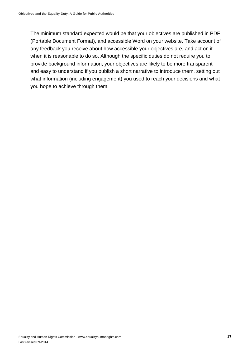The minimum standard expected would be that your objectives are published in PDF (Portable Document Format), and accessible Word on your website. Take account of any feedback you receive about how accessible your objectives are, and act on it when it is reasonable to do so. Although the specific duties do not require you to provide background information, your objectives are likely to be more transparent and easy to understand if you publish a short narrative to introduce them, setting out what information (including engagement) you used to reach your decisions and what you hope to achieve through them.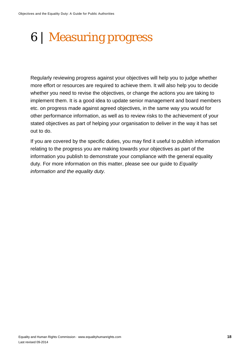### <span id="page-17-0"></span>6 | Measuring progress

Regularly reviewing progress against your objectives will help you to judge whether more effort or resources are required to achieve them. It will also help you to decide whether you need to revise the objectives, or change the actions you are taking to implement them. It is a good idea to update senior management and board members etc. on progress made against agreed objectives, in the same way you would for other performance information, as well as to review risks to the achievement of your stated objectives as part of helping your organisation to deliver in the way it has set out to do.

If you are covered by the specific duties, you may find it useful to publish information relating to the progress you are making towards your objectives as part of the information you publish to demonstrate your compliance with the general equality duty. For more information on this matter, please see our guide to *Equality information and the equality duty.*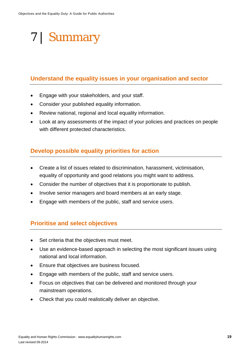# <span id="page-18-0"></span>7 | Summary

#### <span id="page-18-1"></span>**Understand the equality issues in your organisation and sector**

- Engage with your stakeholders, and your staff.
- Consider your published equality information.
- Review national, regional and local equality information.
- Look at any assessments of the impact of your policies and practices on people with different protected characteristics.

#### <span id="page-18-2"></span>**Develop possible equality priorities for action**

- Create a list of issues related to discrimination, harassment, victimisation, equality of opportunity and good relations you might want to address.
- Consider the number of objectives that it is proportionate to publish.
- Involve senior managers and board members at an early stage.
- Engage with members of the public, staff and service users.

#### <span id="page-18-3"></span>**Prioritise and select objectives**

- Set criteria that the objectives must meet.
- Use an evidence-based approach in selecting the most significant issues using national and local information.
- Ensure that objectives are business focused.
- Engage with members of the public, staff and service users.
- Focus on objectives that can be delivered and monitored through your mainstream operations.
- Check that you could realistically deliver an objective.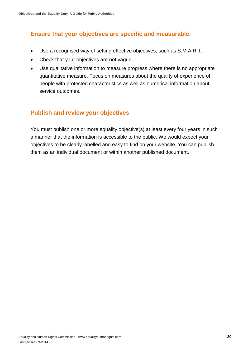#### <span id="page-19-0"></span>**Ensure that your objectives are specific and measurable.**

- Use a recognised way of setting effective objectives, such as S.M.A.R.T.
- Check that your objectives are not vague.
- Use qualitative information to measure progress where there is no appropriate quantitative measure. Focus on measures about the quality of experience of people with protected characteristics as well as numerical information about service outcomes.

#### <span id="page-19-1"></span>**Publish and review your objectives**

You must publish one or more equality objective(s) at least every four years in such a manner that the information is accessible to the public. We would expect your objectives to be clearly labelled and easy to find on your website. You can publish them as an individual document or within another published document.